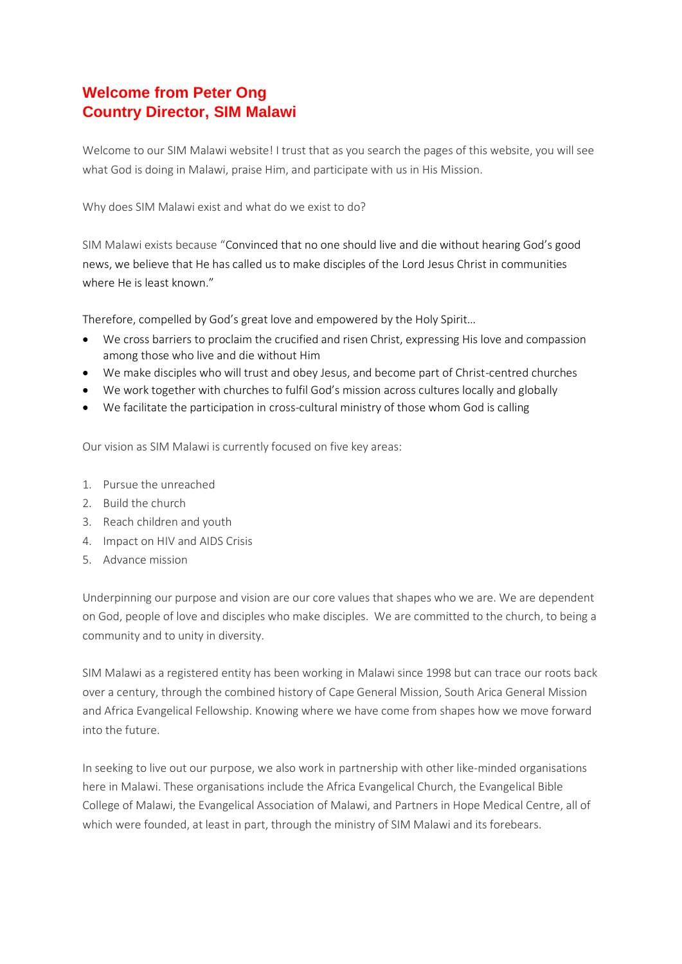## **Welcome from Peter Ong Country Director, SIM Malawi**

Welcome to our SIM Malawi website! I trust that as you search the pages of this website, you will see what God is doing in Malawi, praise Him, and participate with us in His Mission.

Why does SIM Malawi exist and what do we exist to do?

SIM Malawi exists because "Convinced that no one should live and die without hearing God's good news, we believe that He has called us to make disciples of the Lord Jesus Christ in communities where He is least known."

Therefore, compelled by God's great love and empowered by the Holy Spirit…

- We cross barriers to proclaim the crucified and risen Christ, expressing His love and compassion among those who live and die without Him
- We make disciples who will trust and obey Jesus, and become part of Christ-centred churches
- We work together with churches to fulfil God's mission across cultures locally and globally
- We facilitate the participation in cross-cultural ministry of those whom God is calling

Our vision as SIM Malawi is currently focused on five key areas:

- 1. Pursue the unreached
- 2. Build the church
- 3. Reach children and youth
- 4. Impact on HIV and AIDS Crisis
- 5. Advance mission

Underpinning our purpose and vision are our core values that shapes who we are. We are dependent on God, people of love and disciples who make disciples. We are committed to the church, to being a community and to unity in diversity.

SIM Malawi as a registered entity has been working in Malawi since 1998 but can trace our roots back over a century, through the combined history of Cape General Mission, South Arica General Mission and Africa Evangelical Fellowship. Knowing where we have come from shapes how we move forward into the future.

In seeking to live out our purpose, we also work in partnership with other like-minded organisations here in Malawi. These organisations include the Africa Evangelical Church, the Evangelical Bible College of Malawi, the Evangelical Association of Malawi, and Partners in Hope Medical Centre, all of which were founded, at least in part, through the ministry of SIM Malawi and its forebears.